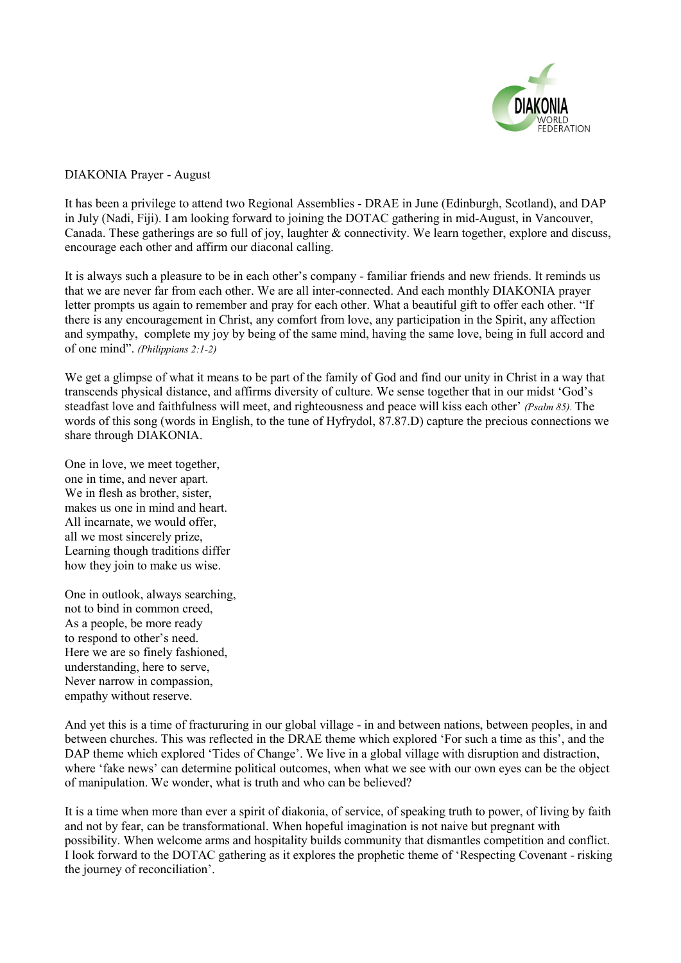

## DIAKONIA Prayer - August

It has been a privilege to attend two Regional Assemblies - DRAE in June (Edinburgh, Scotland), and DAP in July (Nadi, Fiji). I am looking forward to joining the DOTAC gathering in mid-August, in Vancouver, Canada. These gatherings are so full of joy, laughter & connectivity. We learn together, explore and discuss, encourage each other and affirm our diaconal calling.

It is always such a pleasure to be in each other's company - familiar friends and new friends. It reminds us that we are never far from each other. We are all inter-connected. And each monthly DIAKONIA prayer letter prompts us again to remember and pray for each other. What a beautiful gift to offer each other. "If there is any encouragement in Christ, any comfort from love, any participation in the Spirit, any affection and sympathy, complete my joy by being of the same mind, having the same love, being in full accord and of one mind". *(Philippians 2:1-2)*

We get a glimpse of what it means to be part of the family of God and find our unity in Christ in a way that transcends physical distance, and affirms diversity of culture. We sense together that in our midst 'God's steadfast love and faithfulness will meet, and righteousness and peace will kiss each other' *(Psalm 85).* The words of this song (words in English, to the tune of Hyfrydol, 87.87.D) capture the precious connections we share through DIAKONIA.

One in love, we meet together, one in time, and never apart. We in flesh as brother, sister, makes us one in mind and heart. All incarnate, we would offer, all we most sincerely prize, Learning though traditions differ how they join to make us wise.

One in outlook, always searching, not to bind in common creed, As a people, be more ready to respond to other's need. Here we are so finely fashioned, understanding, here to serve, Never narrow in compassion, empathy without reserve.

And yet this is a time of fractururing in our global village - in and between nations, between peoples, in and between churches. This was reflected in the DRAE theme which explored 'For such a time as this', and the DAP theme which explored 'Tides of Change'. We live in a global village with disruption and distraction, where 'fake news' can determine political outcomes, when what we see with our own eyes can be the object of manipulation. We wonder, what is truth and who can be believed?

It is a time when more than ever a spirit of diakonia, of service, of speaking truth to power, of living by faith and not by fear, can be transformational. When hopeful imagination is not naive but pregnant with possibility. When welcome arms and hospitality builds community that dismantles competition and conflict. I look forward to the DOTAC gathering as it explores the prophetic theme of 'Respecting Covenant - risking the journey of reconciliation'.